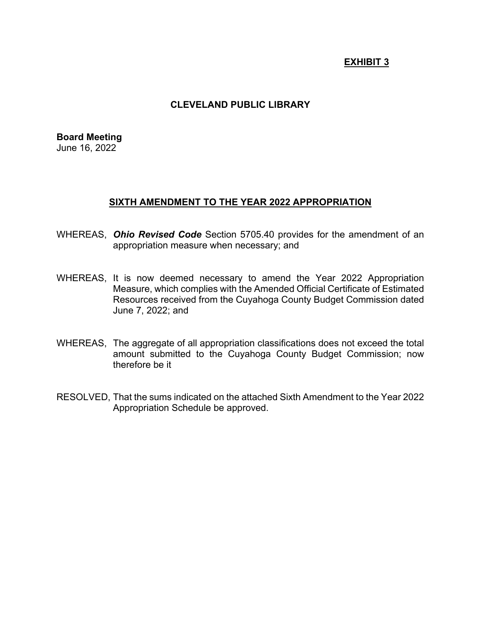# **EXHIBIT 3**

## **CLEVELAND PUBLIC LIBRARY**

**Board Meeting** June 16, 2022

### **SIXTH AMENDMENT TO THE YEAR 2022 APPROPRIATION**

- WHEREAS, *Ohio Revised Code* Section 5705.40 provides for the amendment of an appropriation measure when necessary; and
- WHEREAS, It is now deemed necessary to amend the Year 2022 Appropriation Measure, which complies with the Amended Official Certificate of Estimated Resources received from the Cuyahoga County Budget Commission dated June 7, 2022; and
- WHEREAS, The aggregate of all appropriation classifications does not exceed the total amount submitted to the Cuyahoga County Budget Commission; now therefore be it
- RESOLVED, That the sums indicated on the attached Sixth Amendment to the Year 2022 Appropriation Schedule be approved.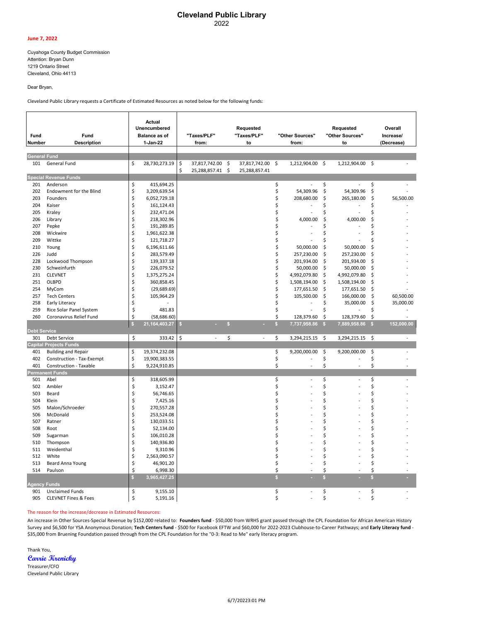#### **Cleveland Public Library** 2022

#### **June 7, 2022**

Cuyahoga County Budget Commission Attention: Bryan Dunn 1219 Ontario Street Cleveland, Ohio 44113

Dear Bryan,

Cleveland Public Library requests a Certificate of Estimated Resources as noted below for the following funds:

| Fund<br>Number      | Fund<br><b>Description</b>      |              | Actual<br>Unencumbered<br><b>Balance as of</b><br>1-Jan-22 |          | "Taxes/PLF"<br>from:                 |              | Requested<br>"Taxes/PLF"<br>to    |              | "Other Sources"<br>from: |              | Requested<br>"Other Sources"<br>to |              | Overall<br>Increase/<br>(Decrease) |
|---------------------|---------------------------------|--------------|------------------------------------------------------------|----------|--------------------------------------|--------------|-----------------------------------|--------------|--------------------------|--------------|------------------------------------|--------------|------------------------------------|
| <b>General Fund</b> |                                 |              |                                                            |          |                                      |              |                                   |              |                          |              |                                    |              |                                    |
| 101                 | General Fund                    | \$           | 28,730,273.19                                              | \$<br>\$ | 37,817,742.00 \$<br>25,288,857.41 \$ |              | 37,817,742.00 \$<br>25,288,857.41 |              | 1,212,904.00             | -\$          | 1,212,904.00                       | \$           |                                    |
|                     | <b>Special Revenue Funds</b>    |              |                                                            |          |                                      |              |                                   |              |                          |              |                                    |              |                                    |
| 201                 | Anderson                        | \$           | 415,694.25                                                 |          |                                      |              |                                   | \$           |                          | \$           |                                    | \$           |                                    |
| 202                 | Endowment for the Blind         | \$           | 3,209,639.54                                               |          |                                      |              |                                   | \$           | 54,309.96                | \$           | 54,309.96                          | \$           |                                    |
| 203                 | Founders                        | \$           | 6,052,729.18                                               |          |                                      |              |                                   | \$           | 208,680.00               | \$           | 265,180.00                         | \$           | 56,500.00                          |
| 204                 | Kaiser                          | \$           | 161,124.43                                                 |          |                                      |              |                                   | \$           |                          | Ś            |                                    | Ś            |                                    |
| 205                 | Kraley                          | \$           | 232,471.04                                                 |          |                                      |              |                                   | \$           |                          | \$           |                                    | Ś            |                                    |
| 206                 | Library                         | \$           | 218,302.96                                                 |          |                                      |              |                                   | \$           | 4,000.00                 | \$           | 4,000.00                           | Ś            |                                    |
| 207                 | Pepke                           | \$           | 191,289.85                                                 |          |                                      |              |                                   | \$           |                          | Ś            |                                    | Ś            |                                    |
| 208                 | Wickwire                        | \$           | 1,961,622.38                                               |          |                                      |              |                                   | \$           |                          | Ś            |                                    | Ś            |                                    |
| 209                 | Wittke                          | \$           | 121,718.27                                                 |          |                                      |              |                                   | Ś            |                          | Ś            |                                    |              |                                    |
| 210                 | Young                           | \$           | 6,196,611.66                                               |          |                                      |              |                                   | \$           | 50,000.00                | \$           | 50,000.00                          | Ŝ            |                                    |
| 226                 | Judd                            | \$           | 283,579.49                                                 |          |                                      |              |                                   | \$           | 257,230.00               | \$           | 257,230.00                         | S            |                                    |
| 228                 | Lockwood Thompson               | \$           | 139,337.18                                                 |          |                                      |              |                                   | \$           | 201,934.00               | \$           | 201,934.00                         | Ś            |                                    |
| 230                 | Schweinfurth                    | \$           | 226,079.52                                                 |          |                                      |              |                                   | \$           | 50,000.00                | \$           | 50,000.00                          | \$           |                                    |
| 231                 | <b>CLEVNET</b>                  | \$           | 1,375,275.24                                               |          |                                      |              |                                   | \$           | 4,992,079.80             | \$           | 4,992,079.80                       | \$           |                                    |
| 251                 | OLBPD                           | \$           | 360,858.45                                                 |          |                                      |              |                                   | \$           | 1,508,194.00             | \$           | 1,508,194.00                       | Ś            |                                    |
| 254                 | MyCom                           | \$           | (29,689.69)                                                |          |                                      |              |                                   | \$           | 177,651.50               | \$           | 177,651.50                         | \$           |                                    |
| 257                 | <b>Tech Centers</b>             | \$           | 105,964.29                                                 |          |                                      |              |                                   | \$           | 105,500.00               | \$           | 166,000.00                         | \$           | 60,500.00                          |
| 258                 | Early Literacy                  | \$           |                                                            |          |                                      |              |                                   | \$           |                          | Ś            | 35,000.00                          | \$           | 35,000.00                          |
| 259                 | Rice Solar Panel System         | \$           | 481.83                                                     |          |                                      |              |                                   | \$           |                          | Ś            |                                    | \$           |                                    |
| 260                 | Coronavirus Relief Fund         | \$           | (58, 686.60)                                               |          |                                      |              |                                   | \$           | 128,379.60               | \$           | 128,379.60                         | \$           |                                    |
|                     |                                 | $\mathsf{s}$ | 21, 164, 403. 27                                           | s        |                                      | $\mathbf{s}$ |                                   | $\mathsf{s}$ | 7,737,958.86             | S.           | 7,889,958.86                       | S.           | 152,000.00                         |
| <b>Debt Service</b> |                                 |              |                                                            |          |                                      |              |                                   |              |                          |              |                                    |              |                                    |
| 301                 | Debt Service                    | \$           | 333.42                                                     | \$       | $\overline{\phantom{a}}$             | \$           | $\overline{\phantom{a}}$          | \$           | 3,294,215.15             | \$           | 3,294,215.15                       | -\$          |                                    |
|                     | <b>Capital Projects Funds</b>   |              |                                                            |          |                                      |              |                                   |              |                          |              |                                    |              |                                    |
| 401                 | <b>Building and Repair</b>      | \$           | 19,374,232.08                                              |          |                                      |              |                                   | \$           | 9,200,000.00             | \$           | 9,200,000.00                       | \$           |                                    |
| 402                 | Construction - Tax-Exempt       | \$           | 19,900,383.55                                              |          |                                      |              |                                   | \$           |                          | \$           |                                    | \$           |                                    |
| 401                 | Construction - Taxable          | \$           | 9,224,910.85                                               |          |                                      |              |                                   | \$           | L,                       | \$           |                                    | \$           |                                    |
|                     | <b>Permanent Funds</b>          |              |                                                            |          |                                      |              |                                   |              |                          |              |                                    |              |                                    |
| 501                 | Abel                            | \$           | 318,605.99                                                 |          |                                      |              |                                   | \$           |                          | \$           |                                    | \$           |                                    |
| 502                 | Ambler                          | \$           | 3,152.47                                                   |          |                                      |              |                                   | \$           |                          | \$           |                                    | \$           |                                    |
| 503                 | Beard                           | \$           | 56,746.65                                                  |          |                                      |              |                                   | \$           |                          | Ś            |                                    | Ś            |                                    |
| 504                 | Klein                           | \$           | 7,425.16                                                   |          |                                      |              |                                   | \$           |                          | Ś            |                                    | \$           |                                    |
| 505                 | Malon/Schroeder                 | \$           | 270,557.28                                                 |          |                                      |              |                                   | \$           |                          | \$           |                                    | \$           |                                    |
| 506                 | McDonald                        | \$           | 253,524.08                                                 |          |                                      |              |                                   | Ś            |                          | Ś            |                                    | Ś            |                                    |
| 507                 | Ratner                          | \$           | 130,033.51                                                 |          |                                      |              |                                   | Ś            |                          | Ś            |                                    | Ś            |                                    |
| 508                 | Root                            | \$           | 52,134.00                                                  |          |                                      |              |                                   | \$           |                          | \$           |                                    | \$           |                                    |
| 509                 | Sugarman                        | \$           | 106,010.28                                                 |          |                                      |              |                                   | Ś            |                          | Ś            |                                    | Ś            |                                    |
| 510                 | Thompson                        | \$           | 140,936.80                                                 |          |                                      |              |                                   | Ś            |                          | Ś            |                                    | Ś            |                                    |
| 511                 | Weidenthal                      | \$           | 9,310.96                                                   |          |                                      |              |                                   | \$           |                          | Ś            |                                    | Ś            |                                    |
| 512                 | White                           | \$           | 2,563,090.57                                               |          |                                      |              |                                   | Ś            |                          | Ś            |                                    | Ś            |                                    |
| 513                 | <b>Beard Anna Young</b>         | \$           | 46,901.20                                                  |          |                                      |              |                                   | \$           |                          | \$           |                                    | \$           |                                    |
| 514                 | Paulson                         | \$           | 6,998.30                                                   |          |                                      |              |                                   | \$           |                          | \$           |                                    | \$           |                                    |
|                     |                                 | $\mathbf{s}$ | 3,965,427.25                                               |          |                                      |              |                                   | $\mathbf{s}$ |                          | $\mathbf{s}$ |                                    | $\mathbf{s}$ |                                    |
| <b>Agency Funds</b> |                                 |              |                                                            |          |                                      |              |                                   |              |                          |              |                                    |              |                                    |
| 901                 | <b>Unclaimed Funds</b>          | \$           | 9,155.10                                                   |          |                                      |              |                                   | \$           |                          | \$           |                                    | \$           |                                    |
| 905                 | <b>CLEVNET Fines &amp; Fees</b> | Ś            | 5,191.16                                                   |          |                                      |              |                                   | Ś            |                          | Ś            |                                    | Ś            |                                    |

#### The reason for the increase/decrease in Estimated Resources:

An increase in Other Sources-Special Revenue by \$152,000 related to: **Founders fund** - \$50,000 from WRHS grant passed through the CPL Foundation for African American History Survey and \$6,500 for YSA Anonymous Donation; **Tech Centers fund** - \$500 for Facebook EFTW and \$60,000 for 2022-2023 Clubhouse-to-Career Pathways; and **Early Literacy fund** - \$35,000 from Bruening Foundation passed through from the CPL Foundation for the "0-3: Read to Me" early literacy program.

Thank You, **Carrie Krenicky**

Treasurer/CFO Cleveland Public Library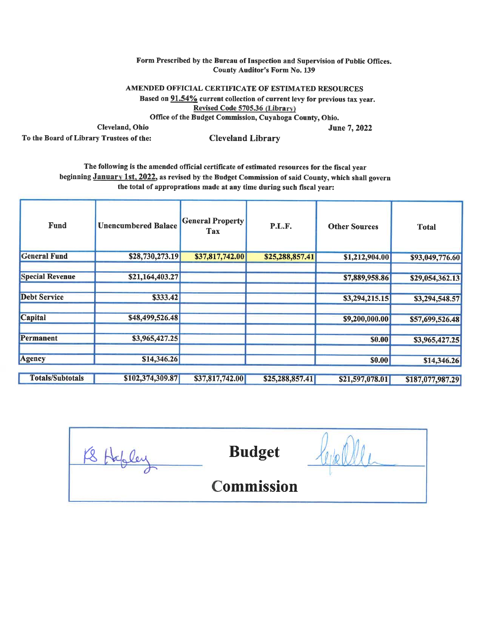### Form Prescribed by the Bureau of Inspection and Supervision of Public Offices. **County Auditor's Form No. 139**

**June 7, 2022** 

AMENDED OFFICIAL CERTIFICATE OF ESTIMATED RESOURCES Based on 91.54% current collection of current levy for previous tax year. Revised Code 5705.36 (Library) Office of the Budget Commission, Cuyahoga County, Ohio.

Cleveland, Ohio

To the Board of Library Trustees of the:

**Cleveland Library** 

The following is the amended official certificate of estimated resources for the fiscal year beginning January 1st, 2022, as revised by the Budget Commission of said County, which shall govern the total of approprations made at any time during such fiscal year:

| <b>Fund</b>             | <b>Unencumbered Balace</b> | <b>General Property</b><br>Tax | P.L.F.          | <b>Other Sources</b> | <b>Total</b>     |
|-------------------------|----------------------------|--------------------------------|-----------------|----------------------|------------------|
| <b>General Fund</b>     | \$28,730,273.19            | \$37,817,742.00                | \$25,288,857.41 | \$1,212,904.00       | \$93,049,776.60  |
| <b>Special Revenue</b>  | \$21,164,403.27            |                                |                 | \$7,889,958.86       | \$29,054,362.13  |
| <b>Debt Service</b>     | \$333.42                   |                                |                 | \$3,294,215.15       | \$3,294,548.57   |
| <b>Capital</b>          | \$48,499,526.48            |                                |                 | \$9,200,000.00       | \$57,699,526.48  |
| Permanent               | \$3,965,427.25             |                                |                 | <b>\$0.00</b>        | \$3,965,427.25   |
| <b>Agency</b>           | \$14,346.26                |                                |                 | \$0.00               | \$14,346.26      |
| <b>Totals/Subtotals</b> | \$102,374,309.87           | \$37,817,742.00                | \$25,288,857.41 | \$21,597,078.01      | \$187,077,987.29 |

KS Hopler **Budget Commission**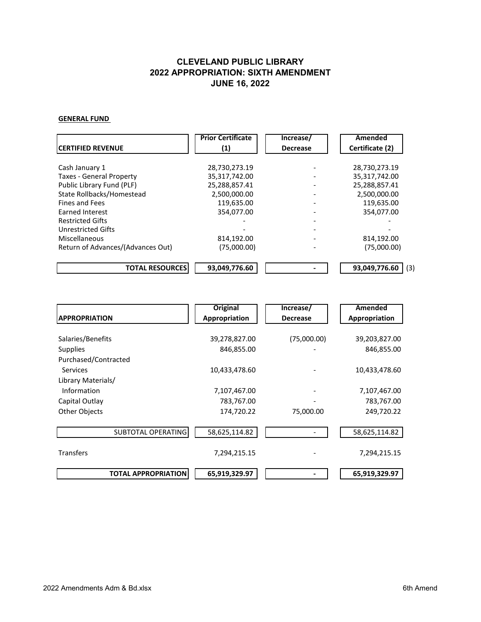### **GENERAL FUND**

|                                   | <b>Prior Certificate</b> | Increase/       | Amended              |
|-----------------------------------|--------------------------|-----------------|----------------------|
| <b>ICERTIFIED REVENUE</b>         | (1)                      | <b>Decrease</b> | Certificate (2)      |
|                                   |                          |                 |                      |
| Cash January 1                    | 28,730,273.19            |                 | 28,730,273.19        |
| <b>Taxes - General Property</b>   | 35,317,742.00            |                 | 35,317,742.00        |
| Public Library Fund (PLF)         | 25,288,857.41            |                 | 25,288,857.41        |
| State Rollbacks/Homestead         | 2,500,000.00             |                 | 2,500,000.00         |
| <b>Fines and Fees</b>             | 119,635.00               |                 | 119,635.00           |
| Earned Interest                   | 354,077.00               |                 | 354,077.00           |
| <b>Restricted Gifts</b>           |                          |                 |                      |
| <b>Unrestricted Gifts</b>         |                          |                 |                      |
| Miscellaneous                     | 814,192.00               |                 | 814,192.00           |
| Return of Advances/(Advances Out) | (75,000.00)              |                 | (75,000.00)          |
| <b>TOTAL RESOURCES</b>            | 93,049,776.60            |                 | 93,049,776.60<br>(3) |

|                            | <b>Original</b> | Increase/       | Amended       |
|----------------------------|-----------------|-----------------|---------------|
| <b>APPROPRIATION</b>       | Appropriation   | <b>Decrease</b> | Appropriation |
|                            |                 |                 |               |
| Salaries/Benefits          | 39,278,827.00   | (75,000.00)     | 39,203,827.00 |
| <b>Supplies</b>            | 846,855.00      |                 | 846,855.00    |
| Purchased/Contracted       |                 |                 |               |
| Services                   | 10,433,478.60   |                 | 10,433,478.60 |
| Library Materials/         |                 |                 |               |
| Information                | 7,107,467.00    |                 | 7,107,467.00  |
| Capital Outlay             | 783,767.00      |                 | 783,767.00    |
| Other Objects              | 174,720.22      | 75,000.00       | 249,720.22    |
|                            |                 |                 |               |
| <b>SUBTOTAL OPERATING</b>  | 58,625,114.82   |                 | 58,625,114.82 |
|                            |                 |                 |               |
| <b>Transfers</b>           | 7,294,215.15    |                 | 7,294,215.15  |
|                            |                 |                 |               |
| <b>TOTAL APPROPRIATION</b> | 65,919,329.97   |                 | 65,919,329.97 |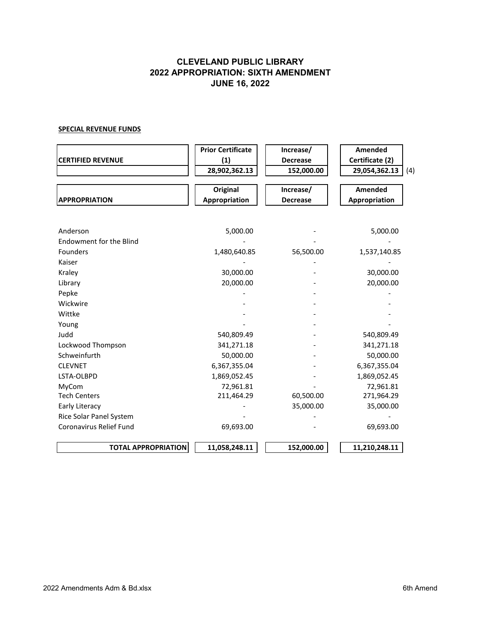### **SPECIAL REVENUE FUNDS**

| <b>CERTIFIED REVENUE</b>       | <b>Prior Certificate</b><br>(1) | Increase/<br><b>Decrease</b> | Amended<br>Certificate (2) |
|--------------------------------|---------------------------------|------------------------------|----------------------------|
|                                | 28,902,362.13                   | 152,000.00                   | 29,054,362.13<br>(4)       |
|                                | <b>Original</b>                 | Increase/                    | Amended                    |
| <b>APPROPRIATION</b>           | Appropriation                   | <b>Decrease</b>              | Appropriation              |
|                                |                                 |                              |                            |
| Anderson                       | 5,000.00                        |                              | 5,000.00                   |
| <b>Endowment for the Blind</b> |                                 |                              |                            |
| <b>Founders</b>                | 1,480,640.85                    | 56,500.00                    | 1,537,140.85               |
| Kaiser                         |                                 |                              |                            |
| Kraley                         | 30,000.00                       |                              | 30,000.00                  |
| Library                        | 20,000.00                       |                              | 20,000.00                  |
| Pepke                          |                                 |                              |                            |
| Wickwire                       |                                 |                              |                            |
| Wittke                         |                                 |                              |                            |
| Young                          |                                 |                              |                            |
| Judd                           | 540,809.49                      |                              | 540,809.49                 |
| Lockwood Thompson              | 341,271.18                      |                              | 341,271.18                 |
| Schweinfurth                   | 50,000.00                       |                              | 50,000.00                  |
| <b>CLEVNET</b>                 | 6,367,355.04                    |                              | 6,367,355.04               |
| LSTA-OLBPD                     | 1,869,052.45                    |                              | 1,869,052.45               |
| MyCom                          | 72,961.81                       |                              | 72,961.81                  |
| <b>Tech Centers</b>            | 211,464.29                      | 60,500.00                    | 271,964.29                 |
| Early Literacy                 |                                 | 35,000.00                    | 35,000.00                  |
| Rice Solar Panel System        |                                 |                              |                            |
| Coronavirus Relief Fund        | 69,693.00                       |                              | 69,693.00                  |
| <b>TOTAL APPROPRIATION</b>     | 11,058,248.11                   | 152,000.00                   | 11,210,248.11              |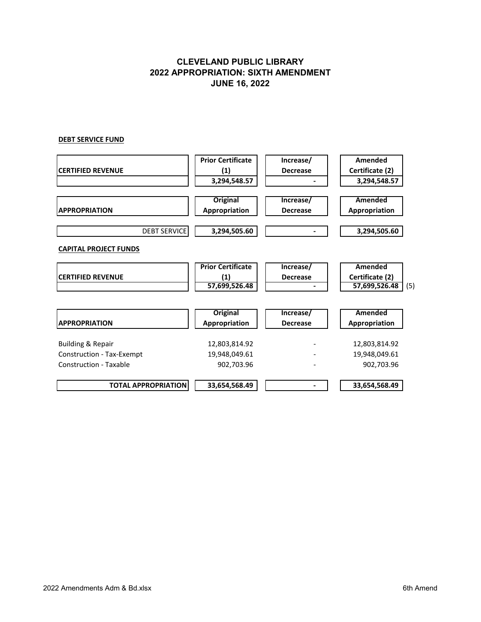### **DEBT SERVICE FUND**

| <b>Prior Certificate</b> | Increase/                                         | Amended              |
|--------------------------|---------------------------------------------------|----------------------|
| (1)                      | <b>Decrease</b>                                   | Certificate (2)      |
| 3,294,548.57             |                                                   | 3,294,548.57         |
|                          |                                                   |                      |
|                          |                                                   | Amended              |
|                          | <b>Decrease</b>                                   | Appropriation        |
| 3,294,505.60             |                                                   | 3,294,505.60         |
|                          |                                                   |                      |
| <b>Prior Certificate</b> | Increase/                                         | Amended              |
| (1)                      | <b>Decrease</b>                                   | Certificate (2)      |
|                          |                                                   | 57,699,526.48<br>(5) |
|                          |                                                   |                      |
| <b>Original</b>          | Increase/                                         | Amended              |
| Appropriation            | <b>Decrease</b>                                   | Appropriation        |
| 12,803,814.92            |                                                   | 12,803,814.92        |
| 19,948,049.61            |                                                   | 19,948,049.61        |
| 902,703.96               |                                                   | 902,703.96           |
| 33,654,568.49            |                                                   | 33,654,568.49        |
|                          | <b>Original</b><br>Appropriation<br>57,699,526.48 | Increase/            |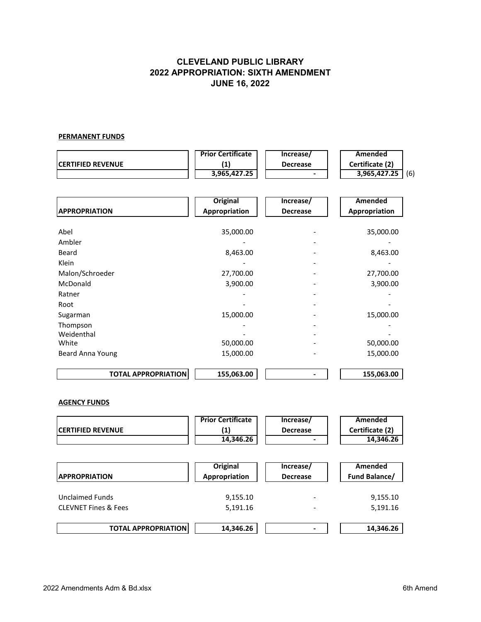### **PERMANENT FUNDS**

|                                 | <b>Prior Certificate</b> | Increase/                | Amended             |
|---------------------------------|--------------------------|--------------------------|---------------------|
| <b>CERTIFIED REVENUE</b>        | (1)                      | <b>Decrease</b>          | Certificate (2)     |
|                                 | 3,965,427.25             |                          | 3,965,427.25<br>(6) |
|                                 |                          |                          |                     |
|                                 | <b>Original</b>          | Increase/                | <b>Amended</b>      |
| <b>APPROPRIATION</b>            | Appropriation            | <b>Decrease</b>          | Appropriation       |
| Abel                            | 35,000.00                |                          | 35,000.00           |
| Ambler                          |                          |                          |                     |
| <b>Beard</b>                    | 8,463.00                 |                          | 8,463.00            |
| Klein                           |                          |                          |                     |
|                                 |                          |                          |                     |
| Malon/Schroeder                 | 27,700.00                |                          | 27,700.00           |
| McDonald                        | 3,900.00                 |                          | 3,900.00            |
| Ratner                          |                          |                          |                     |
| Root                            |                          |                          |                     |
| Sugarman                        | 15,000.00                |                          | 15,000.00           |
| Thompson                        |                          |                          |                     |
| Weidenthal<br>White             | 50,000.00                |                          | 50,000.00           |
|                                 | 15,000.00                |                          | 15,000.00           |
| Beard Anna Young                |                          |                          |                     |
| <b>TOTAL APPROPRIATION</b>      | 155,063.00               | $\blacksquare$           | 155,063.00          |
| <b>AGENCY FUNDS</b>             |                          |                          |                     |
|                                 | <b>Prior Certificate</b> | Increase/                | <b>Amended</b>      |
| <b>CERTIFIED REVENUE</b>        | (1)                      | <b>Decrease</b>          | Certificate (2)     |
|                                 | 14,346.26                |                          | 14,346.26           |
|                                 |                          |                          |                     |
|                                 | <b>Original</b>          | Increase/                | <b>Amended</b>      |
| <b>APPROPRIATION</b>            | Appropriation            | <b>Decrease</b>          | Fund Balance/       |
| <b>Unclaimed Funds</b>          | 9,155.10                 |                          | 9,155.10            |
| <b>CLEVNET Fines &amp; Fees</b> | 5,191.16                 |                          | 5,191.16            |
|                                 |                          |                          |                     |
| <b>TOTAL APPROPRIATION</b>      | 14,346.26                | $\overline{\phantom{a}}$ | 14,346.26           |
|                                 |                          |                          |                     |